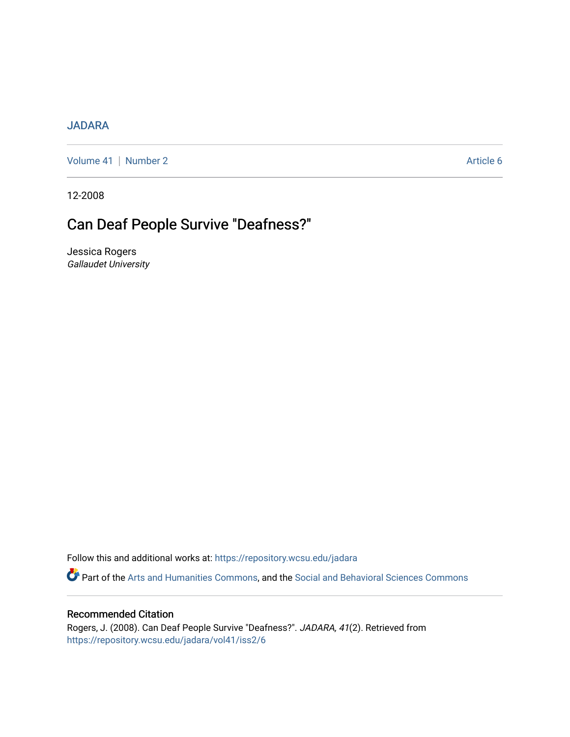# [JADARA](https://repository.wcsu.edu/jadara)

[Volume 41](https://repository.wcsu.edu/jadara/vol41) | [Number 2](https://repository.wcsu.edu/jadara/vol41/iss2) Article 6

12-2008

# Can Deaf People Survive "Deafness?"

Jessica Rogers Gallaudet University

Follow this and additional works at: [https://repository.wcsu.edu/jadara](https://repository.wcsu.edu/jadara?utm_source=repository.wcsu.edu%2Fjadara%2Fvol41%2Fiss2%2F6&utm_medium=PDF&utm_campaign=PDFCoverPages)

Part of the [Arts and Humanities Commons,](http://network.bepress.com/hgg/discipline/438?utm_source=repository.wcsu.edu%2Fjadara%2Fvol41%2Fiss2%2F6&utm_medium=PDF&utm_campaign=PDFCoverPages) and the [Social and Behavioral Sciences Commons](http://network.bepress.com/hgg/discipline/316?utm_source=repository.wcsu.edu%2Fjadara%2Fvol41%2Fiss2%2F6&utm_medium=PDF&utm_campaign=PDFCoverPages)

#### Recommended Citation

Rogers, J. (2008). Can Deaf People Survive "Deafness?". JADARA, 41(2). Retrieved from [https://repository.wcsu.edu/jadara/vol41/iss2/6](https://repository.wcsu.edu/jadara/vol41/iss2/6?utm_source=repository.wcsu.edu%2Fjadara%2Fvol41%2Fiss2%2F6&utm_medium=PDF&utm_campaign=PDFCoverPages)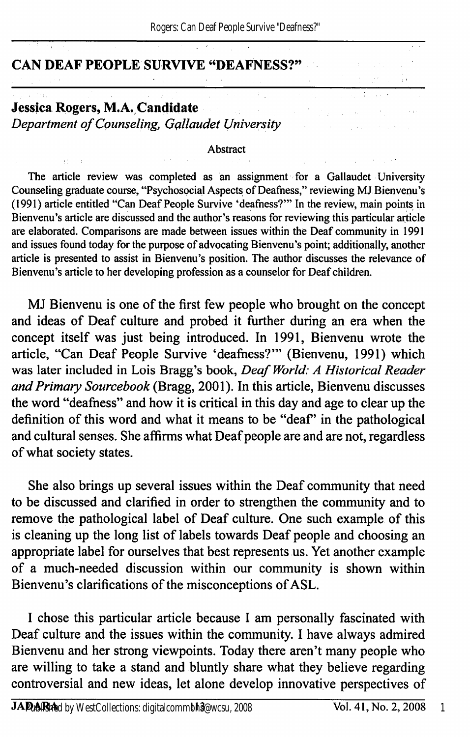## CAN DEAF PEOPLE SURVIVE "DEAFNESS?"

#### Jessica Rogers, M.A. Candidate Department of Counseling, Gallaudet University

#### Abstract

The article review was completed as an assignment for a Gallaudet University Counseling graduate course, "Psychosocial Aspects of Deafhess," reviewing MJ Bienvenu's (1991) article entitled "Can Deaf People Survive 'deafness?'" In the review, main points in Bienvenu's article are discussed and the author's reasons for reviewing this particular article are elaborated. Comparisons are made between issues within the Deaf community in 1991 and issues found today for the purpose of advocating Bienvenu's point; additionally, another article is presented to assist in Bienvenu's position. The author discusses the relevance of Bienvenu's article to her developing profession as a counselor for Deaf children.

MJ Bienvenu is one of the first few people who brought on the concept and ideas of Deaf culture and probed it further during an era when the concept itself was just being introduced. In 1991, Bienvenu wrote the article, "Can Deaf People Survive 'deafness?'" (Bienvenu, 1991) which was later included in Lois Bragg's book, Deaf World: A Historical Reader and Primary Sourcebook (Bragg, 2001). In this article, Bienvenu discusses the word "deafness" and how it is critical in this day and age to clear up the definition of this word and what it means to be "deaf" in the pathological and cultural senses. She affirms what Deaf people are and are not, regardless of what society states.

She also brings up several issues within the Deaf community that need to be discussed and clarified in order to strengthen the community and to remove the pathological label of Deaf culture. One such example of this is cleaning up the long list of labels towards Deaf people and choosing an appropriate label for ourselves that best represents us. Yet another example of a much-needed discussion within our community is shown within Bienvenu's clarifications of the misconceptions of ASL.

I chose this particular article because I am personally fascinated with Deaf culture and the issues within the community. I have always admired Bienvenu and her strong viewpoints. Today there aren't many people who are willing to take a stand and bluntly share what they believe regarding controversial and new ideas, let alone develop innovative perspectives of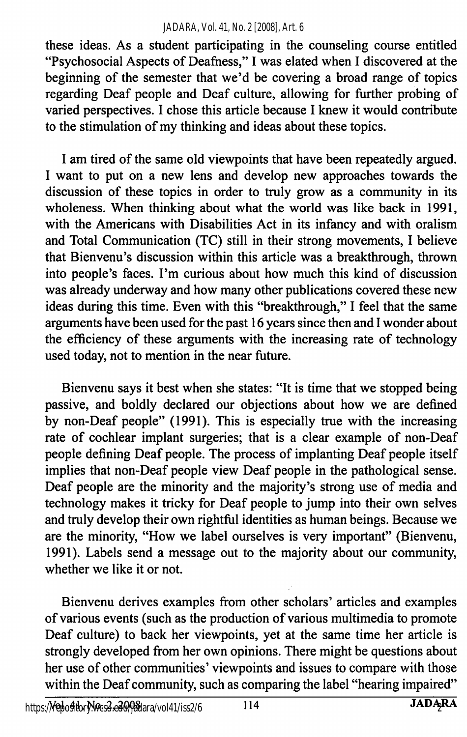#### *JADARA, Vol. 41, No. 2 [2008], Art. 6*

these ideas. As a student participating in the counseling course entitled "Psychosocial Aspects of Deafness," I was elated when I discovered at the beginning of the semester that we'd be covering a broad range of topics regarding Deaf people and Deaf culture, allowing for further probing of varied perspectives. I chose this article because I knew it would contribute to the stimulation of my thinking and ideas about these topics.

I am tired of the same old viewpoints that have been repeatedly argued. I want to put on a new lens and develop new approaches towards the discussion of these topics in order to truly grow as a community in its wholeness. When thinking about what the world was like back in 1991, with the Americans with Disabilities Act in its infancy and with oralism and Total Communication (TC) still in their strong movements, I believe that Bienvenu's discussion within this article was a breakthrough, thrown into people's faces. I'm curious about how much this kind of discussion was already underway and how many other publications covered these new ideas during this time. Even with this "breakthrough," I feel that the same arguments have been used for the past 16 years since then and I wonder about the efficiency of these arguments with the increasing rate of technology used today, not to mention in the near future.

Bienvenu says it best when she states: "It is time that we stopped being passive, and boldly declared our objections about how we are defined by non-Deaf people" (1991). This is especially true with the increasing rate of cochlear implant surgeries; that is a clear example of non-Deaf people defining Deaf people. The process of implanting Deaf people itself implies that non-Deaf people view Deaf people in the pathological sense. Deaf people are the minority and the majority's strong use of media and technology makes it tricky for Deaf people to jump into their own selves and truly develop their own rightful identities as human beings. Because we are the minority, "How we label ourselves is very important" (Bienvenu, 1991). Labels send a message out to the majority about our community, whether we like it or not.

Bienvenu derives examples from other scholars' articles and examples of various events (such as the production of various multimedia to promote Deaf culture) to back her viewpoints, yet at the same time her article is strongly developed from her own opinions. There might be questions about her use of other communities' viewpoints and issues to compare with those within the Deaf community, such as comparing the label "hearing impaired"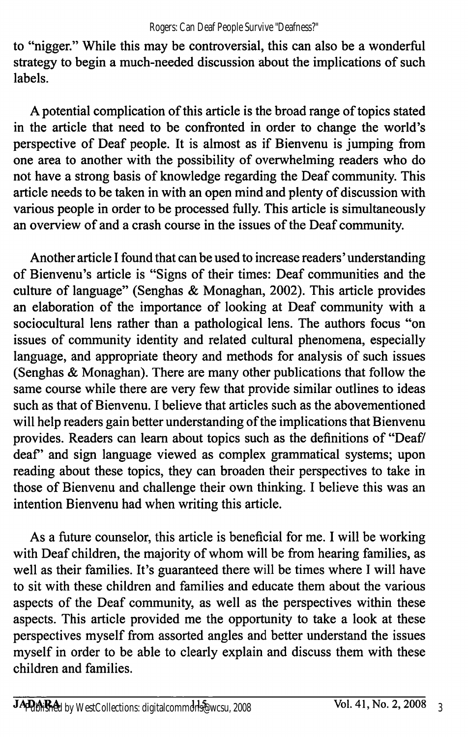to "nigger." While this may be controversial, this can also be a wonderful strategy to begin a much-needed discussion about the implications of such labels.

A potential complication of this article is the broad range of topics stated in the article that need to be confronted in order to change the world's perspective of Deaf people. It is almost as if Bienvenu is jumping from one area to another with the possibility of overwhelming readers who do not have a strong basis of knowledge regarding the Deaf community. This article needs to be taken in with an open mind and plenty of discussion with various people in order to be processed fiilly. This article is simultaneously an overview of and a crash course in the issues of the Deaf community.

Another article I found that can be used to increase readers' understanding of Bienvenu's article is "Signs of their times: Deaf communities and the culture of language" (Senghas & Monaghan, 2002). This article provides an elaboration of the importance of looking at Deaf community with a sociocultural lens rather than a pathological lens. The authors focus "on issues of community identity and related cultural phenomena, especially language, and appropriate theory and methods for analysis of such issues (Senghas & Monaghan). There are many other publications that follow the same course while there are very few that provide similar outlines to ideas such as that of Bienvenu. I believe that articles such as the abovementioned will help readers gain better understanding of the implications that Bienvenu provides. Readers can learn about topics such as the definitions of "Deaf/ deaf" and sign language viewed as complex grammatical systems; upon reading about these topics, they can broaden their perspectives to take in those of Bienvenu and challenge their own thinking. I believe this was an intention Bienvenu had when writing this article.

As a future counselor, this article is beneficial for me. I will be working with Deaf children, the majority of whom will be from hearing families, as well as their families. It's guaranteed there will be times where I will have to sit with these children and families and educate them about the various aspects of the Deaf community, as well as the perspectives within these aspects. This article provided me the opportunity to take a look at these perspectives myself from assorted angles and better understand the issues myself in order to be able to clearly explain and discuss them with these children and families.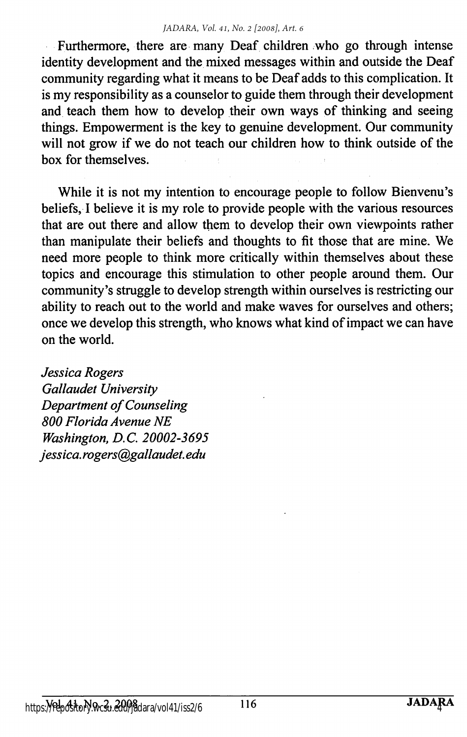Furthermore, there are many Deaf children who go through intense identity development and the mixed messages within and outside the Deaf community regarding what it means to be Deaf adds to this complication. It is my responsibility as a counselor to guide them through their development and teach them how to develop their own ways of thinking and seeing things. Empowerment is the key to genuine development. Our community will not grow if we do not teach our children how to think outside of the box for themselves.

While it is not my intention to encourage people to follow Bienvenu's beliefs, I believe it is my role to provide people with the various resources that are out there and allow them to develop their own viewpoints rather than manipulate their beliefs and thoughts to fit those that are mine. We need more people to think more critically within themselves about these topics and encourage this stimulation to other people around them. Our commimity's struggle to develop strength within ourselves is restricting our ability to reach out to the world and make waves for ourselves and others; once we develop this strength, who knows what kind of impact we can have on the world.

Jessica Rogers Gallaudet University Department of Counseling 800 Florida Avenue NE Washington, B.C. 20002-3695 Jessica. rogers@gallaudet. edu